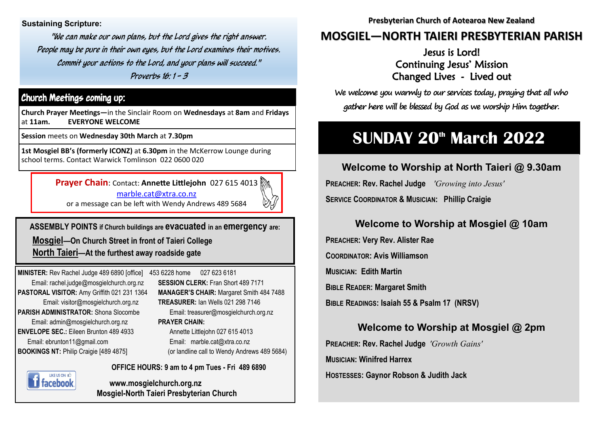**Sustaining Scripture:** 

"We can make our own plans, but the Lord gives the right answer. People may be pure in their own eyes, but the Lord examines their motives. Commit your actions to the Lord, and your plans will succeed." Proverbs 16: 1 - 3

### Church Meetings coming up:

**Church Prayer Meetings—**in the Sinclair Room on **Wednesdays** at **8am** and **Fridays**  at **11am. EVERYONE WELCOME**

**Session** meets on **Wednesday 30th March** at **7.30pm** 

**1st Mosgiel BB's (formerly ICONZ)** at **6.30pm** in the McKerrow Lounge during school terms. Contact Warwick Tomlinson 022 0600 020

**Prayer Chain**: Contact: **Annette Littlejohn** 027 615 4013

[marble.cat@xtra.co.nz](mailto:marble.cat@xtra.co.nz) 



or a message can be left with Wendy Andrews 489 5684

**ASSEMBLY POINTS if Church buildings are evacuated in an emergency are: Mosgiel—On Church Street in front of Taieri College**

 **North Taieri—At the furthest away roadside gate**

**MINISTER:** Rev Rachel Judge 489 6890 [office] 453 6228 home 027 623 6181 Email: rachel.judge@mosgielchurch.org.nz **SESSION CLERK:** Fran Short 489 7171 **PARISH ADMINISTRATOR:** Shona Slocombe Email: treasurer@mosgielchurch.org.nz Email: admin@mosgielchurch.org.nz **PRAYER CHAIN: ENVELOPE SEC.:** Eileen Brunton 489 4933 Annette Littlejohn 027 615 4013 Email: ebrunton11@gmail.com Email: marble.cat@xtra.co.nz **BOOKINGS NT:** Philip Craigie [489 4875] (or landline call to Wendy Andrews 489 5684)

**PASTORAL VISITOR:** Amy Griffith 021 231 1364 **MANAGER'S CHAIR:** Margaret Smith 484 7488 Email: visitor@mosgielchurch.org.nz **TREASURER:** Ian Wells 021 298 7146

LIKE US ON acehool **OFFICE HOURS: 9 am to 4 pm Tues - Fri 489 6890**

**www.mosgielchurch.org.nz Mosgiel-North Taieri Presbyterian Church** **Presbyterian Church of Aotearoa New Zealand** 

## **MOSGIEL—NORTH TAIERI PRESBYTERIAN PARISH**

Jesus is Lord! Continuing Jesus' Mission Changed Lives - Lived out

**We welcome you warmly to our services today, praying that all who gather here will be blessed by God as we worship Him together.**

# **SUNDAY 20th March 2022**

**Welcome to Worship at North Taieri @ 9.30am PREACHER: Rev. Rachel Judge** *'Growing into Jesus'*  **SERVICE COORDINATOR & MUSICIAN: Phillip Craigie** 

## **Welcome to Worship at Mosgiel @ 10am**

**PREACHER: Very Rev. Alister Rae COORDINATOR: Avis Williamson MUSICIAN: Edith Martin BIBLE READER: Margaret Smith BIBLE READINGS: Isaiah 55 & Psalm 17 (NRSV)**

### **Welcome to Worship at Mosgiel @ 2pm**

**PREACHER: Rev. Rachel Judge** *'Growth Gains'*  **MUSICIAN: Winifred Harrex <sup>H</sup>OSTESSES: Gaynor Robson & Judith Jack**